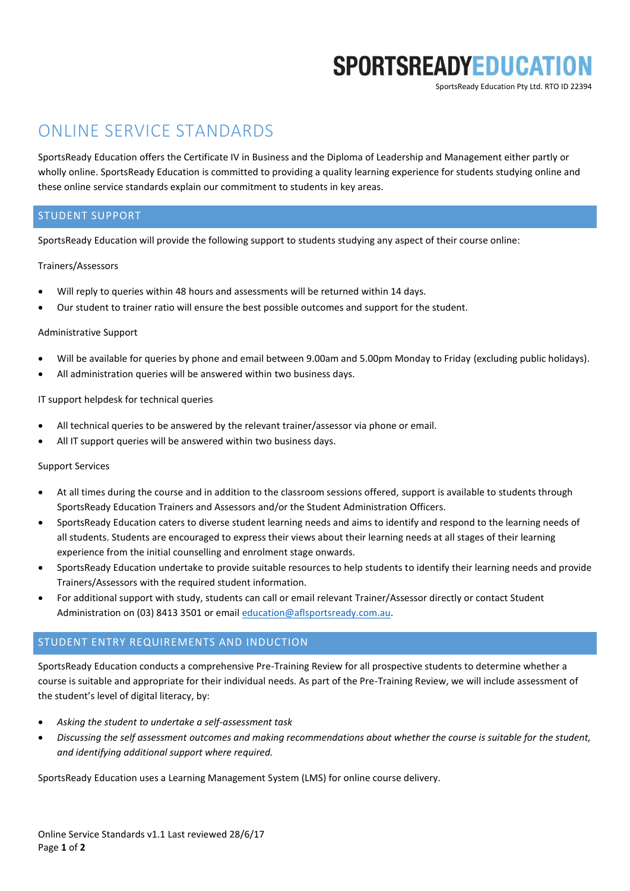# **SPORTSREADYEDUCATION**

SportsReady Education Pty Ltd. RTO ID 22394

# ONLINE SERVICE STANDARDS

SportsReady Education offers the Certificate IV in Business and the Diploma of Leadership and Management either partly or wholly online. SportsReady Education is committed to providing a quality learning experience for students studying online and these online service standards explain our commitment to students in key areas.

# STUDENT SUPPORT

SportsReady Education will provide the following support to students studying any aspect of their course online:

### Trainers/Assessors

- Will reply to queries within 48 hours and assessments will be returned within 14 days.
- Our student to trainer ratio will ensure the best possible outcomes and support for the student.

### Administrative Support

- Will be available for queries by phone and email between 9.00am and 5.00pm Monday to Friday (excluding public holidays).
- All administration queries will be answered within two business days.

# IT support helpdesk for technical queries

- All technical queries to be answered by the relevant trainer/assessor via phone or email.
- All IT support queries will be answered within two business days.

### Support Services

- At all times during the course and in addition to the classroom sessions offered, support is available to students through SportsReady Education Trainers and Assessors and/or the Student Administration Officers.
- SportsReady Education caters to diverse student learning needs and aims to identify and respond to the learning needs of all students. Students are encouraged to express their views about their learning needs at all stages of their learning experience from the initial counselling and enrolment stage onwards.
- SportsReady Education undertake to provide suitable resources to help students to identify their learning needs and provide Trainers/Assessors with the required student information.
- For additional support with study, students can call or email relevant Trainer/Assessor directly or contact Student Administration on (03) 8413 3501 or email education@aflsportsready.com.au.

# STUDENT ENTRY REQUIREMENTS AND INDUCTION

SportsReady Education conducts a comprehensive Pre-Training Review for all prospective students to determine whether a course is suitable and appropriate for their individual needs. As part of the Pre-Training Review, we will include assessment of the student's level of digital literacy, by:

- *Asking the student to undertake a self-assessment task*
- *Discussing the self assessment outcomes and making recommendations about whether the course is suitable for the student, and identifying additional support where required.*

SportsReady Education uses a Learning Management System (LMS) for online course delivery.